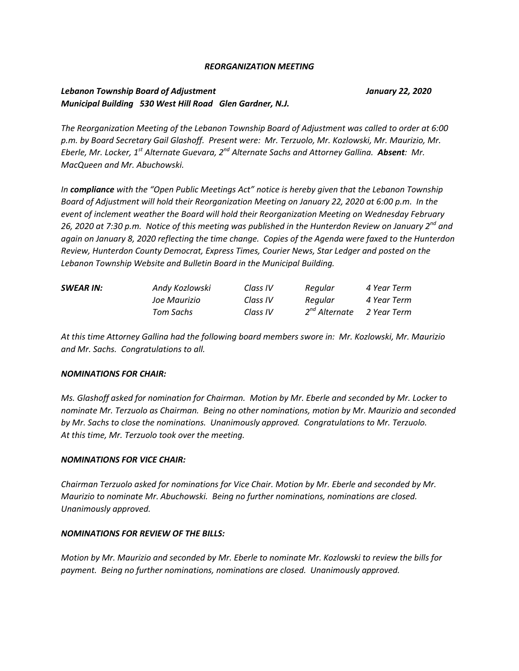#### *REORGANIZATION MEETING*

## *Lebanon Township Board of Adjustment January 22, 2020 Municipal Building 530 West Hill Road Glen Gardner, N.J.*

*The Reorganization Meeting of the Lebanon Township Board of Adjustment was called to order at 6:00 p.m. by Board Secretary Gail Glashoff. Present were: Mr. Terzuolo, Mr. Kozlowski, Mr. Maurizio, Mr. Eberle, Mr. Locker, 1st Alternate Guevara, 2nd Alternate Sachs and Attorney Gallina. Absent: Mr. MacQueen and Mr. Abuchowski.* 

*In compliance with the "Open Public Meetings Act" notice is hereby given that the Lebanon Township Board of Adjustment will hold their Reorganization Meeting on January 22, 2020 at 6:00 p.m. In the event of inclement weather the Board will hold their Reorganization Meeting on Wednesday February 26, 2020 at 7:30 p.m. Notice of this meeting was published in the Hunterdon Review on January 2nd and again on January 8, 2020 reflecting the time change. Copies of the Agenda were faxed to the Hunterdon Review, Hunterdon County Democrat, Express Times, Courier News, Star Ledger and posted on the Lebanon Township Website and Bulletin Board in the Municipal Building.*

| <b>SWEAR IN:</b> | Andy Kozlowski | Class IV | Reaular                   | 4 Year Term |
|------------------|----------------|----------|---------------------------|-------------|
|                  | Joe Maurizio   | Class IV | Reaular                   | 4 Year Term |
|                  | Tom Sachs      | Class IV | 2 <sup>nd</sup> Alternate | 2 Year Term |

*At this time Attorney Gallina had the following board members swore in: Mr. Kozlowski, Mr. Maurizio and Mr. Sachs. Congratulations to all.*

#### *NOMINATIONS FOR CHAIR:*

*Ms. Glashoff asked for nomination for Chairman. Motion by Mr. Eberle and seconded by Mr. Locker to nominate Mr. Terzuolo as Chairman. Being no other nominations, motion by Mr. Maurizio and seconded by Mr. Sachs to close the nominations. Unanimously approved. Congratulations to Mr. Terzuolo. At this time, Mr. Terzuolo took over the meeting.*

## *NOMINATIONS FOR VICE CHAIR:*

*Chairman Terzuolo asked for nominations for Vice Chair. Motion by Mr. Eberle and seconded by Mr. Maurizio to nominate Mr. Abuchowski. Being no further nominations, nominations are closed. Unanimously approved.*

#### *NOMINATIONS FOR REVIEW OF THE BILLS:*

*Motion by Mr. Maurizio and seconded by Mr. Eberle to nominate Mr. Kozlowski to review the bills for payment. Being no further nominations, nominations are closed. Unanimously approved.*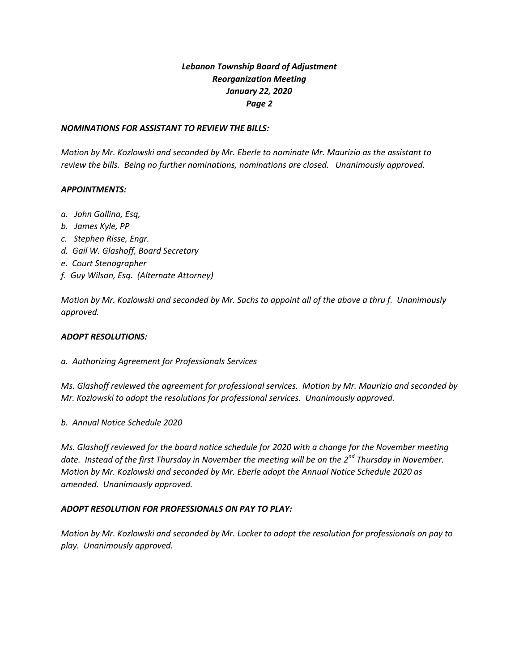# *Lebanon Township Board of Adjustment Reorganization Meeting January 22, 2020 Page 2*

### *NOMINATIONS FOR ASSISTANT TO REVIEW THE BILLS:*

*Motion by Mr. Kozlowski and seconded by Mr. Eberle to nominate Mr. Maurizio as the assistant to review the bills. Being no further nominations, nominations are closed. Unanimously approved.*

#### *APPOINTMENTS:*

- *a. John Gallina, Esq,*
- *b. James Kyle, PP*
- *c. Stephen Risse, Engr.*
- *d. Gail W. Glashoff, Board Secretary*
- *e. Court Stenographer*
- *f. Guy Wilson, Esq. (Alternate Attorney)*

*Motion by Mr. Kozlowski and seconded by Mr. Sachs to appoint all of the above a thru f. Unanimously approved.*

#### *ADOPT RESOLUTIONS:*

*a. Authorizing Agreement for Professionals Services*

*Ms. Glashoff reviewed the agreement for professional services. Motion by Mr. Maurizio and seconded by Mr. Kozlowski to adopt the resolutions for professional services. Unanimously approved.*

*b. Annual Notice Schedule 2020*

*Ms. Glashoff reviewed for the board notice schedule for 2020 with a change for the November meeting date. Instead of the first Thursday in November the meeting will be on the 2nd Thursday in November. Motion by Mr. Kozlowski and seconded by Mr. Eberle adopt the Annual Notice Schedule 2020 as amended. Unanimously approved.*

#### *ADOPT RESOLUTION FOR PROFESSIONALS ON PAY TO PLAY:*

*Motion by Mr. Kozlowski and seconded by Mr. Locker to adopt the resolution for professionals on pay to play. Unanimously approved.*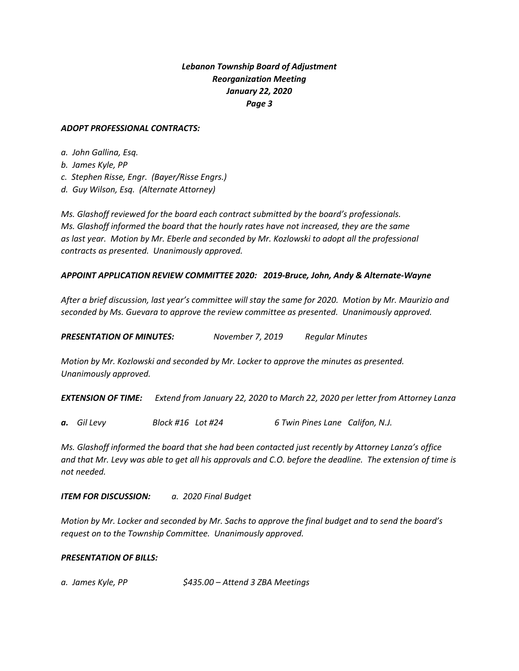# *Lebanon Township Board of Adjustment Reorganization Meeting January 22, 2020 Page 3*

### *ADOPT PROFESSIONAL CONTRACTS:*

- *a. John Gallina, Esq.*
- *b. James Kyle, PP*
- *c. Stephen Risse, Engr. (Bayer/Risse Engrs.)*
- *d. Guy Wilson, Esq. (Alternate Attorney)*

*Ms. Glashoff reviewed for the board each contract submitted by the board's professionals. Ms. Glashoff informed the board that the hourly rates have not increased, they are the same*  as last year. Motion by Mr. Eberle and seconded by Mr. Kozlowski to adopt all the professional *contracts as presented. Unanimously approved.*

## *APPOINT APPLICATION REVIEW COMMITTEE 2020: 2019-Bruce, John, Andy & Alternate-Wayne*

*After a brief discussion, last year's committee will stay the same for 2020. Motion by Mr. Maurizio and seconded by Ms. Guevara to approve the review committee as presented. Unanimously approved.*

| <b>PRESENTATION OF MINUTES:</b> | November 7, 2019 | <b>Regular Minutes</b> |
|---------------------------------|------------------|------------------------|
|                                 |                  |                        |

*Motion by Mr. Kozlowski and seconded by Mr. Locker to approve the minutes as presented. Unanimously approved.*

*EXTENSION OF TIME: Extend from January 22, 2020 to March 22, 2020 per letter from Attorney Lanza*

*a. Gil Levy Block #16 Lot #24 6 Twin Pines Lane Califon, N.J.*

*Ms. Glashoff informed the board that she had been contacted just recently by Attorney Lanza's office and that Mr. Levy was able to get all his approvals and C.O. before the deadline. The extension of time is not needed.*

*ITEM FOR DISCUSSION: a. 2020 Final Budget*

*Motion by Mr. Locker and seconded by Mr. Sachs to approve the final budget and to send the board's request on to the Township Committee. Unanimously approved.*

## *PRESENTATION OF BILLS:*

*a. James Kyle, PP \$435.00 – Attend 3 ZBA Meetings*